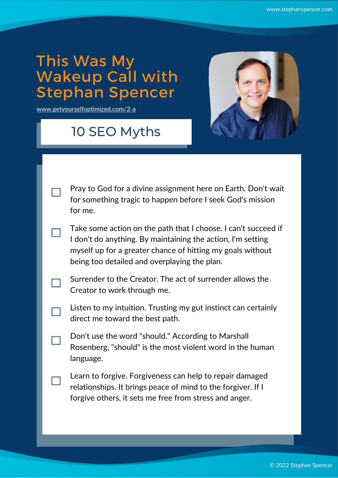## This Was My Wakeup Call with Stephan Spencer

[www.getyourselfoptimized.com/2-a](https://www.getyourselfoptimized.com/2-a)

## 10 SEO Myths



- Pray to God for a divine assignment here on Earth. Don't wait for something tragic to happen before I seek God's mission for me.
- Take some action on the path that I choose. I can't succeed if I don't do anything. By maintaining the action, I'm setting myself up for a greater chance of hitting my goals without being too detailed and overplaying the plan.
- Surrender to the Creator. The act of surrender allows the Creator to work through me.
- Listen to my intuition. Trusting my gut instinct can certainly direct me toward the best path.
- Don't use the word "should." According to Marshall Rosenberg, "should" is the most violent word in the human language.
	- Learn to forgive. Forgiveness can help to repair damaged relationships. It brings peace of mind to the forgiver. If I forgive others, it sets me free from stress and anger.